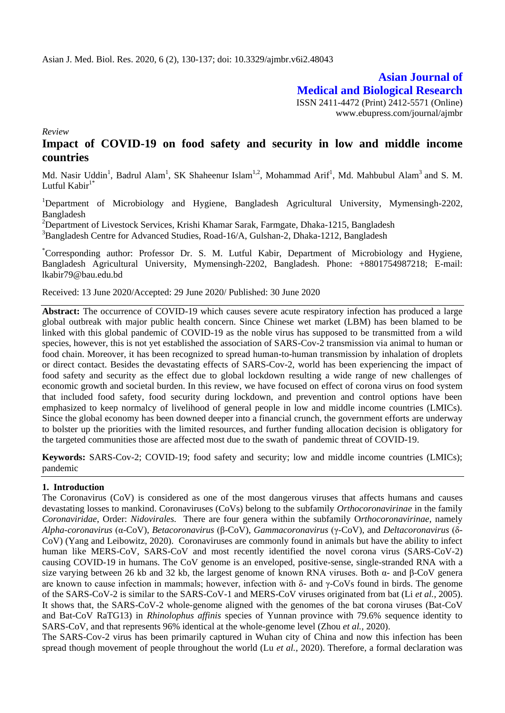**Asian Journal of Medical and Biological Research** ISSN 2411-4472 (Print) 2412-5571 (Online) www.ebupress.com/journal/ajmbr

*Review*

# **Impact of COVID-19 on food safety and security in low and middle income countries**

Md. Nasir Uddin<sup>1</sup>, Badrul Alam<sup>1</sup>, SK Shaheenur Islam<sup>1,2</sup>, Mohammad Arif<sup>1</sup>, Md. Mahbubul Alam<sup>3</sup> and S. M. Lutful Kabir $1^*$ 

<sup>1</sup>Department of Microbiology and Hygiene, Bangladesh Agricultural University, Mymensingh-2202, Bangladesh

<sup>2</sup>Department of Livestock Services, Krishi Khamar Sarak, Farmgate, Dhaka-1215, Bangladesh

<sup>3</sup>Bangladesh Centre for Advanced Studies, Road-16/A, Gulshan-2, Dhaka-1212, Bangladesh

\*Corresponding author: Professor Dr. S. M. Lutful Kabir, Department of Microbiology and Hygiene, Bangladesh Agricultural University, Mymensingh-2202, Bangladesh. Phone: +8801754987218; E-mail: lkabir79@bau.edu.bd

Received: 13 June 2020/Accepted: 29 June 2020/ Published: 30 June 2020

**Abstract:** The occurrence of COVID-19 which causes severe acute respiratory infection has produced a large global outbreak with major public health concern. Since Chinese wet market (LBM) has been blamed to be linked with this global pandemic of COVID-19 as the noble virus has supposed to be transmitted from a wild species, however, this is not yet established the association of SARS-Cov-2 transmission via animal to human or food chain. Moreover, it has been recognized to spread human-to-human transmission by inhalation of droplets or direct contact. Besides the devastating effects of SARS-Cov-2, world has been experiencing the impact of food safety and security as the effect due to global lockdown resulting a wide range of new challenges of economic growth and societal burden. In this review, we have focused on effect of corona virus on food system that included food safety, food security during lockdown, and prevention and control options have been emphasized to keep normalcy of livelihood of general people in low and middle income countries (LMICs). Since the global economy has been downed deeper into a financial crunch, the government efforts are underway to bolster up the priorities with the limited resources, and further funding allocation decision is obligatory for the targeted communities those are affected most due to the swath of pandemic threat of COVID-19.

**Keywords:** SARS-Cov-2; COVID-19; food safety and security; low and middle income countries (LMICs); pandemic

# **1. Introduction**

The Coronavirus (CoV) is considered as one of the most dangerous viruses that affects humans and causes devastating losses to mankind. Coronaviruses (CoVs) belong to the subfamily *Orthocoronavirinae* in the family *Coronaviridae*, Order: *Nidovirales.* There are four genera within the subfamily O*rthocoronavirinae*, namely *Alpha-coronavirus* (α-CoV), *Betacoronavirus* (β-CoV), *Gammacoronavirus* (γ-CoV), and *Deltacoronavirus* (δ-CoV) (Yang and Leibowitz, 2020). Coronaviruses are commonly found in animals but have the ability to infect human like MERS-CoV, SARS-CoV and most recently identified the novel corona virus (SARS-CoV-2) causing COVID-19 in humans. The CoV genome is an enveloped, positive-sense, single-stranded RNA with a size varying between 26 kb and 32 kb, the largest genome of known RNA viruses. Both α- and β-CoV genera are known to cause infection in mammals; however, infection with δ- and γ-CoVs found in birds. The genome of the SARS-CoV-2 is similar to the SARS-CoV-1 and MERS-CoV viruses originated from bat (Li *et al.,* 2005). It shows that, the SARS-CoV-2 whole-genome aligned with the genomes of the bat corona viruses (Bat-CoV and Bat-CoV RaTG13) in *Rhinolophus affinis* species of Yunnan province with 79.6% sequence identity to SARS-CoV, and that represents 96% identical at the whole-genome level (Zhou *et al.,* 2020).

The SARS-Cov-2 virus has been primarily captured in Wuhan city of China and now this infection has been spread though movement of people throughout the world (Lu *et al.,* 2020). Therefore, a formal declaration was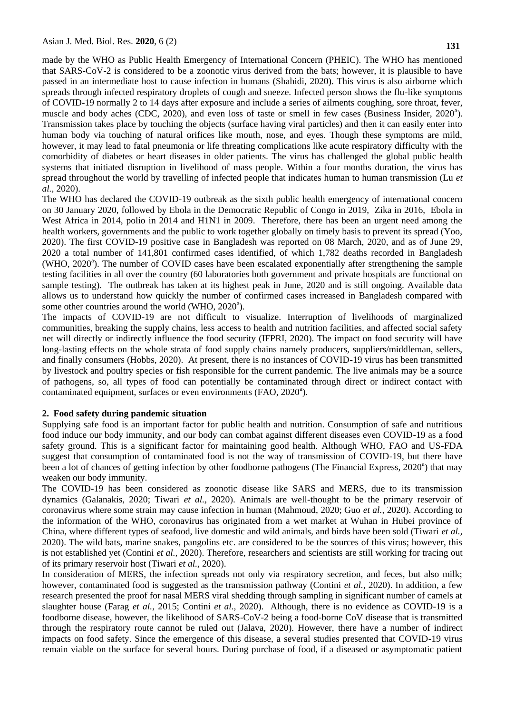made by the WHO as Public Health Emergency of International Concern (PHEIC). The WHO has mentioned that SARS-CoV-2 is considered to be a zoonotic virus derived from the bats; however, it is plausible to have passed in an intermediate host to cause infection in humans (Shahidi, 2020). This virus is also airborne which spreads through infected respiratory droplets of cough and sneeze. Infected person shows the flu-like symptoms of COVID-19 normally 2 to 14 days after exposure and include a series of ailments coughing, sore throat, fever, muscle and body aches (CDC, 2020), and even loss of taste or smell in few cases (Business Insider, 2020<sup>a</sup>). Transmission takes place by touching the objects (surface having viral particles) and then it can easily enter into human body via touching of natural orifices like mouth, nose, and eyes. Though these symptoms are mild, however, it may lead to fatal pneumonia or life threating complications like acute respiratory difficulty with the comorbidity of diabetes or heart diseases in older patients. The virus has challenged the global public health systems that initiated disruption in livelihood of mass people. Within a four months duration, the virus has spread throughout the world by travelling of infected people that indicates human to human transmission (Lu *et al.,* 2020).

The WHO has declared the COVID-19 outbreak as the sixth public health emergency of international concern on 30 January 2020, followed by Ebola in the Democratic Republic of Congo in 2019, Zika in 2016, Ebola in West Africa in 2014, polio in 2014 and H1N1 in 2009. Therefore, there has been an urgent need among the health workers, governments and the public to work together globally on timely basis to prevent its spread (Yoo, 2020). The first COVID-19 positive case in Bangladesh was reported on 08 March, 2020, and as of June 29, 2020 a total number of 141,801 confirmed cases identified, of which 1,782 deaths recorded in Bangladesh (WHO, 2020<sup>a</sup>). The number of COVID cases have been escalated exponentially after strengthening the sample testing facilities in all over the country (60 laboratories both government and private hospitals are functional on sample testing). The outbreak has taken at its highest peak in June, 2020 and is still ongoing. Available data allows us to understand how quickly the number of confirmed cases increased in Bangladesh compared with some other countries around the world (WHO, 2020<sup>a</sup>).

The impacts of COVID-19 are not difficult to visualize. Interruption of livelihoods of marginalized communities, breaking the supply chains, less access to health and nutrition facilities, and affected social safety net will directly or indirectly influence the food security (IFPRI, 2020). The impact on food security will have long-lasting effects on the whole strata of food supply chains namely producers, suppliers/middleman, sellers, and finally consumers (Hobbs, 2020). At present, there is no instances of COVID-19 virus has been transmitted by livestock and poultry species or fish responsible for the current pandemic. The live animals may be a source of pathogens, so, all types of food can potentially be contaminated through direct or indirect contact with contaminated equipment, surfaces or even environments (FAO, 2020<sup>a</sup>).

# **2. Food safety during pandemic situation**

Supplying safe food is an important factor for public health and nutrition. Consumption of safe and nutritious food induce our body immunity, and our body can combat against different diseases even COVID-19 as a food safety ground. This is a significant factor for maintaining good health. Although WHO, FAO and US-FDA suggest that consumption of contaminated food is not the way of transmission of COVID-19, but there have been a lot of chances of getting infection by other foodborne pathogens (The Financial Express, 2020<sup>a</sup>) that may weaken our body immunity.

The COVID-19 has been considered as zoonotic disease like SARS and MERS, due to its transmission dynamics (Galanakis, 2020; Tiwari *et al.,* 2020). Animals are well-thought to be the primary reservoir of coronavirus where some strain may cause infection in human (Mahmoud, 2020; Guo *et al.,* 2020). According to the information of the WHO, coronavirus has originated from a wet market at Wuhan in Hubei province of China, where different types of seafood, live domestic and wild animals, and birds have been sold (Tiwari *et al.,*  2020). The wild bats, marine snakes, pangolins etc. are considered to be the sources of this virus; however, this is not established yet (Contini *et al.,* 2020). Therefore, researchers and scientists are still working for tracing out of its primary reservoir host (Tiwari *et al.,* 2020).

In consideration of MERS, the infection spreads not only via respiratory secretion, and feces, but also milk; however, contaminated food is suggested as the transmission pathway (Contini *et al.,* 2020). In addition, a few research presented the proof for nasal MERS viral shedding through sampling in significant number of camels at slaughter house (Farag *et al.,* 2015; Contini *et al.,* 2020). Although, there is no evidence as COVID-19 is a foodborne disease, however, the likelihood of SARS-CoV-2 being a food-borne CoV disease that is transmitted through the respiratory route cannot be ruled out (Jalava, 2020). However, there have a number of indirect impacts on food safety. Since the emergence of this disease, a several studies presented that COVID-19 virus remain viable on the surface for several hours. During purchase of food, if a diseased or asymptomatic patient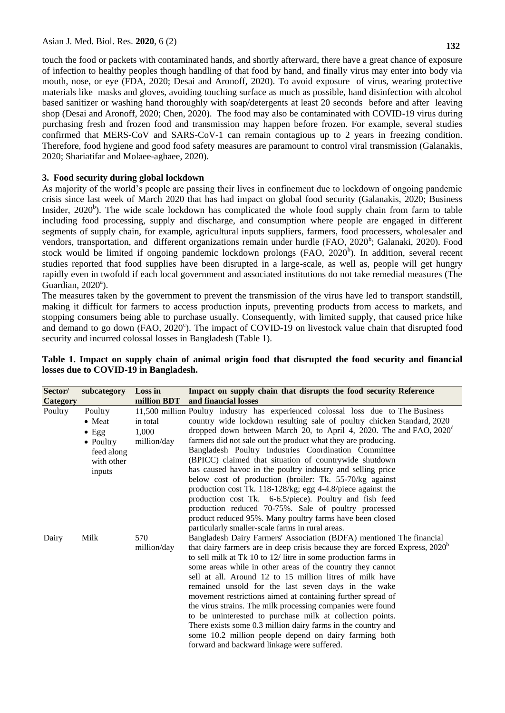touch the food or packets with contaminated hands, and shortly afterward, there have a great chance of exposure of infection to healthy peoples though handling of that food by hand, and finally virus may enter into body via mouth, nose, or eye (FDA, 2020; Desai and Aronoff, 2020). To avoid exposure of virus, wearing protective materials like masks and gloves, avoiding touching surface as much as possible, hand disinfection with alcohol based sanitizer or washing hand thoroughly with soap/detergents at least 20 seconds before and after leaving shop (Desai and Aronoff, 2020; Chen, 2020). The food may also be contaminated with COVID-19 virus during purchasing fresh and frozen food and transmission may happen before frozen. For example, several studies confirmed that MERS-CoV and SARS-CoV-1 can remain contagious up to 2 years in freezing condition. Therefore, food hygiene and good food safety measures are paramount to control viral transmission (Galanakis, 2020; Shariatifar and Molaee-aghaee, 2020).

# **3. Food security during global lockdown**

As majority of the world"s people are passing their lives in confinement due to lockdown of ongoing pandemic crisis since last week of March 2020 that has had impact on global food security (Galanakis, 2020; Business Insider,  $2020<sup>b</sup>$ ). The wide scale lockdown has complicated the whole food supply chain from farm to table including food processing, supply and discharge, and consumption where people are engaged in different segments of supply chain, for example, agricultural inputs suppliers, farmers, food processers, wholesaler and vendors, transportation, and different organizations remain under hurdle (FAO, 2020<sup>b</sup>; Galanaki, 2020). Food stock would be limited if ongoing pandemic lockdown prolongs (FAO, 2020<sup>b</sup>). In addition, several recent studies reported that food supplies have been disrupted in a large-scale, as well as, people will get hungry rapidly even in twofold if each local government and associated institutions do not take remedial measures (The Guardian,  $2020^{\circ}$ ).

The measures taken by the government to prevent the transmission of the virus have led to transport standstill, making it difficult for farmers to access production inputs, preventing products from access to markets, and stopping consumers being able to purchase usually. Consequently, with limited supply, that caused price hike and demand to go down (FAO, 2020<sup>c</sup>). The impact of COVID-19 on livestock value chain that disrupted food security and incurred colossal losses in Bangladesh (Table 1).

| Sector/<br>Category | subcategory                                                                                   | Loss in<br>million BDT           | Impact on supply chain that disrupts the food security Reference<br>and financial losses                                                                                                                                                                                                                                                                                                                                                                                                                                                                                                                                                                                                                                                                                                                                                   |
|---------------------|-----------------------------------------------------------------------------------------------|----------------------------------|--------------------------------------------------------------------------------------------------------------------------------------------------------------------------------------------------------------------------------------------------------------------------------------------------------------------------------------------------------------------------------------------------------------------------------------------------------------------------------------------------------------------------------------------------------------------------------------------------------------------------------------------------------------------------------------------------------------------------------------------------------------------------------------------------------------------------------------------|
| Poultry             | Poultry<br>$\bullet$ Meat<br>$\bullet$ Egg<br>• Poultry<br>feed along<br>with other<br>inputs | in total<br>1,000<br>million/day | 11,500 million Poultry industry has experienced colossal loss due to The Business<br>country wide lockdown resulting sale of poultry chicken Standard, 2020<br>dropped down between March 20, to April 4, 2020. The and FAO, $2020^{\circ}$<br>farmers did not sale out the product what they are producing.<br>Bangladesh Poultry Industries Coordination Committee<br>(BPICC) claimed that situation of countrywide shutdown<br>has caused havoc in the poultry industry and selling price<br>below cost of production (broiler: Tk. 55-70/kg against<br>production cost Tk. 118-128/kg; egg 4-4.8/piece against the<br>production cost Tk. 6-6.5/piece). Poultry and fish feed<br>production reduced 70-75%. Sale of poultry processed<br>product reduced 95%. Many poultry farms have been closed                                      |
| Dairy               | Milk                                                                                          | 570<br>million/day               | particularly smaller-scale farms in rural areas.<br>Bangladesh Dairy Farmers' Association (BDFA) mentioned The financial<br>that dairy farmers are in deep crisis because they are forced Express, 2020 <sup>b</sup><br>to sell milk at Tk 10 to 12/ litre in some production farms in<br>some areas while in other areas of the country they cannot<br>sell at all. Around 12 to 15 million litres of milk have<br>remained unsold for the last seven days in the wake<br>movement restrictions aimed at containing further spread of<br>the virus strains. The milk processing companies were found<br>to be uninterested to purchase milk at collection points.<br>There exists some 0.3 million dairy farms in the country and<br>some 10.2 million people depend on dairy farming both<br>forward and backward linkage were suffered. |

# **Table 1. Impact on supply chain of animal origin food that disrupted the food security and financial losses due to COVID-19 in Bangladesh.**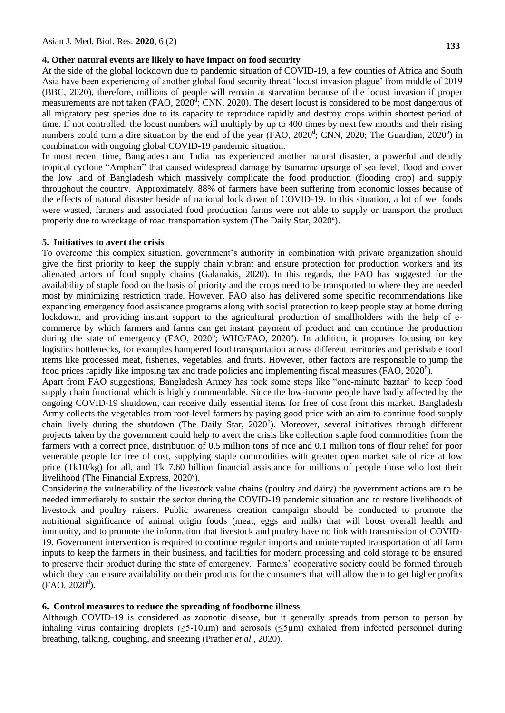## **4. Other natural events are likely to have impact on food security**

At the side of the global lockdown due to pandemic situation of COVID-19, a few counties of Africa and South Asia have been experiencing of another global food security threat "locust invasion plague" from middle of 2019 (BBC, 2020), therefore, millions of people will remain at starvation because of the locust invasion if proper measurements are not taken  $(FAO, 2020^d, CNN, 2020)$ . The desert locust is considered to be most dangerous of all migratory pest species due to its capacity to reproduce rapidly and destroy crops within shortest period of time. If not controlled, the locust numbers will multiply by up to 400 times by next few months and their rising numbers could turn a dire situation by the end of the year (FAO,  $2020^d$ ; CNN,  $2020$ ; The Guardian,  $2020^b$ ) in combination with ongoing global COVID-19 pandemic situation.

In most recent time, Bangladesh and India has experienced another natural disaster, a powerful and deadly tropical cyclone "Amphan" that caused widespread damage by tsunamic upsurge of sea level, flood and cover the low land of Bangladesh which massively complicate the food production (flooding crop) and supply throughout the country. Approximately, 88% of farmers have been suffering from economic losses because of the effects of natural disaster beside of national lock down of COVID-19. In this situation, a lot of wet foods were wasted, farmers and associated food production farms were not able to supply or transport the product properly due to wreckage of road transportation system (The Daily Star, 2020<sup>a</sup>).

#### **5. Initiatives to avert the crisis**

To overcome this complex situation, government's authority in combination with private organization should give the first priority to keep the supply chain vibrant and ensure protection for production workers and its alienated actors of food supply chains (Galanakis, 2020). In this regards, the FAO has suggested for the availability of staple food on the basis of priority and the crops need to be transported to where they are needed most by minimizing restriction trade. However, FAO also has delivered some specific recommendations like expanding emergency food assistance programs along with social protection to keep people stay at home during lockdown, and providing instant support to the agricultural production of smallholders with the help of ecommerce by which farmers and farms can get instant payment of product and can continue the production during the state of emergency (FAO, 2020<sup>b</sup>; WHO/FAO, 2020<sup>a</sup>). In addition, it proposes focusing on key logistics bottlenecks, for examples hampered food transportation across different territories and perishable food items like processed meat, fisheries, vegetables, and fruits. However, other factors are responsible to jump the food prices rapidly like imposing tax and trade policies and implementing fiscal measures (FAO,  $2020<sup>b</sup>$ ).

Apart from FAO suggestions, Bangladesh Armey has took some steps like "one-minute bazaar" to keep food supply chain functional which is highly commendable. Since the low-income people have badly affected by the ongoing COVID-19 shutdown, can receive daily essential items for free of cost from this market. Bangladesh Army collects the vegetables from root-level farmers by paying good price with an aim to continue food supply chain lively during the shutdown (The Daily Star, 2020<sup>b</sup>). Moreover, several initiatives through different projects taken by the government could help to avert the crisis like collection staple food commodities from the farmers with a correct price, distribution of 0.5 million tons of rice and 0.1 million tons of flour relief for poor venerable people for free of cost, supplying staple commodities with greater open market sale of rice at low price (Tk10/kg) for all, and Tk 7.60 billion financial assistance for millions of people those who lost their livelihood (The Financial Express,  $2020^{\circ}$ ).

Considering the vulnerability of the livestock value chains (poultry and dairy) the government actions are to be needed immediately to sustain the sector during the COVID-19 pandemic situation and to restore livelihoods of livestock and poultry raisers. Public awareness creation campaign should be conducted to promote the nutritional significance of animal origin foods (meat, eggs and milk) that will boost overall health and immunity, and to promote the information that livestock and poultry have no link with transmission of COVID-19. Government intervention is required to continue regular imports and uninterrupted transportation of all farm inputs to keep the farmers in their business, and facilities for modern processing and cold storage to be ensured to preserve their product during the state of emergency. Farmers" cooperative society could be formed through which they can ensure availability on their products for the consumers that will allow them to get higher profits  $(FAO, 2020^d)$ .

#### **6. Control measures to reduce the spreading of foodborne illness**

Although COVID-19 is considered as zoonotic disease, but it generally spreads from person to person by inhaling virus containing droplets  $(\geq 5-10\mu m)$  and aerosols  $(\leq 5\mu m)$  exhaled from infected personnel during breathing, talking, coughing, and sneezing (Prather *et al.,* 2020).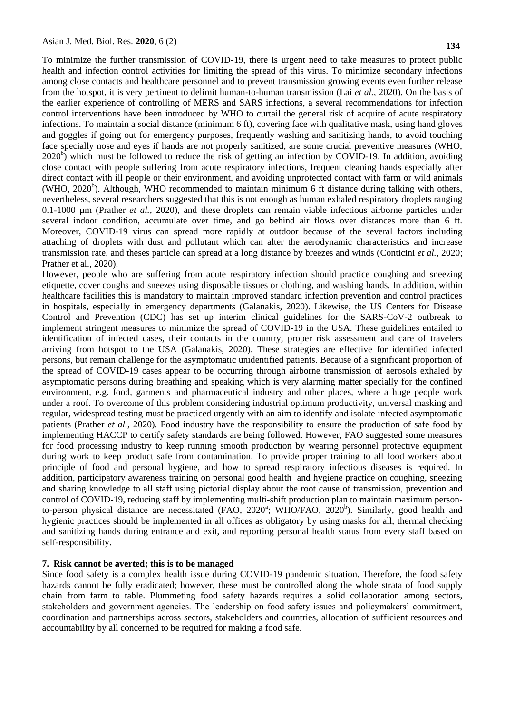To minimize the further transmission of COVID-19, there is urgent need to take measures to protect public health and infection control activities for limiting the spread of this virus. To minimize secondary infections among close contacts and healthcare personnel and to prevent transmission growing events even further release from the hotspot, it is very pertinent to delimit human-to-human transmission (Lai *et al.,* 2020). On the basis of the earlier experience of controlling of MERS and SARS infections, a several recommendations for infection control interventions have been introduced by WHO to curtail the general risk of acquire of acute respiratory infections. To maintain a social distance (minimum 6 ft), covering face with qualitative mask, using hand gloves and goggles if going out for emergency purposes, frequently washing and sanitizing hands, to avoid touching face specially nose and eyes if hands are not properly sanitized, are some crucial preventive measures (WHO,  $2020<sup>b</sup>$ ) which must be followed to reduce the risk of getting an infection by COVID-19. In addition, avoiding close contact with people suffering from acute respiratory infections, frequent cleaning hands especially after direct contact with ill people or their environment, and avoiding unprotected contact with farm or wild animals  $(WHO, 2020<sup>b</sup>)$ . Although, WHO recommended to maintain minimum 6 ft distance during talking with others, nevertheless, several researchers suggested that this is not enough as human exhaled respiratory droplets ranging 0.1-1000 µm (Prather *et al.,* 2020), and these droplets can remain viable infectious airborne particles under several indoor condition, accumulate over time, and go behind air flows over distances more than 6 ft. Moreover, COVID-19 virus can spread more rapidly at outdoor because of the several factors including attaching of droplets with dust and pollutant which can alter the aerodynamic characteristics and increase transmission rate, and theses particle can spread at a long distance by breezes and winds (Conticini *et al.,* 2020; Prather et al., 2020).

However, people who are suffering from acute respiratory infection should practice coughing and sneezing etiquette, cover coughs and sneezes using disposable tissues or clothing, and washing hands. In addition, within healthcare facilities this is mandatory to maintain improved standard infection prevention and control practices in hospitals, especially in emergency departments (Galanakis, 2020). Likewise, the US Centers for Disease Control and Prevention (CDC) has set up interim clinical guidelines for the SARS-CoV-2 outbreak to implement stringent measures to minimize the spread of COVID-19 in the USA. These guidelines entailed to identification of infected cases, their contacts in the country, proper risk assessment and care of travelers arriving from hotspot to the USA (Galanakis, 2020). These strategies are effective for identified infected persons, but remain challenge for the asymptomatic unidentified patients. Because of a significant proportion of the spread of COVID-19 cases appear to be occurring through airborne transmission of aerosols exhaled by asymptomatic persons during breathing and speaking which is very alarming matter specially for the confined environment, e.g. food, garments and pharmaceutical industry and other places, where a huge people work under a roof. To overcome of this problem considering industrial optimum productivity, universal masking and regular, widespread testing must be practiced urgently with an aim to identify and isolate infected asymptomatic patients (Prather *et al.,* 2020). Food industry have the responsibility to ensure the production of safe food by implementing HACCP to certify safety standards are being followed. However, FAO suggested some measures for food processing industry to keep running smooth production by wearing personnel protective equipment during work to keep product safe from contamination. To provide proper training to all food workers about principle of food and personal hygiene, and how to spread respiratory infectious diseases is required. In addition, participatory awareness training on personal good health and hygiene practice on coughing, sneezing and sharing knowledge to all staff using pictorial display about the root cause of transmission, prevention and control of COVID-19, reducing staff by implementing multi-shift production plan to maintain maximum personto-person physical distance are necessitated (FAO, 2020<sup>a</sup>; WHO/FAO, 2020<sup>b</sup>). Similarly, good health and hygienic practices should be implemented in all offices as obligatory by using masks for all, thermal checking and sanitizing hands during entrance and exit, and reporting personal health status from every staff based on self-responsibility.

# **7. Risk cannot be averted; this is to be managed**

Since food safety is a complex health issue during COVID-19 pandemic situation. Therefore, the food safety hazards cannot be fully eradicated; however, these must be controlled along the whole strata of food supply chain from farm to table. Plummeting food safety hazards requires a solid collaboration among sectors, stakeholders and government agencies. The leadership on food safety issues and policymakers' commitment, coordination and partnerships across sectors, stakeholders and countries, allocation of sufficient resources and accountability by all concerned to be required for making a food safe.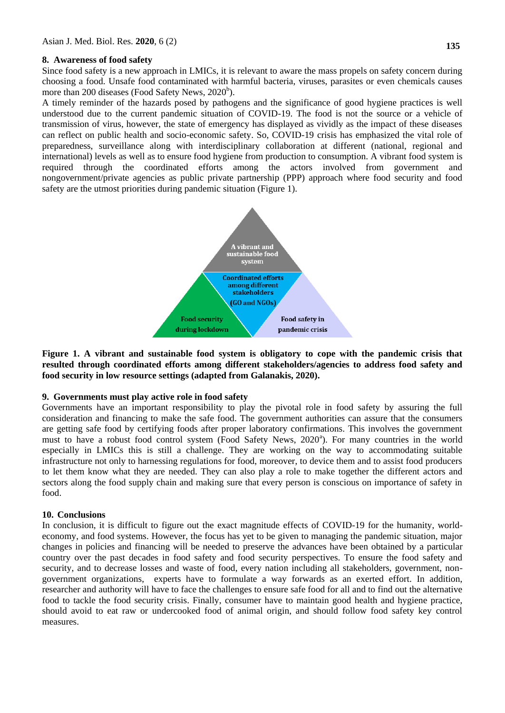# **8. Awareness of food safety**

Since food safety is a new approach in LMICs, it is relevant to aware the mass propels on safety concern during choosing a food. Unsafe food contaminated with harmful bacteria, viruses, parasites or even chemicals causes more than 200 diseases (Food Safety News, 2020<sup>b</sup>).

A timely reminder of the hazards posed by pathogens and the significance of good hygiene practices is well understood due to the current pandemic situation of COVID-19. The food is not the source or a vehicle of transmission of virus, however, the state of emergency has displayed as vividly as the impact of these diseases can reflect on public health and socio-economic safety. So, COVID-19 crisis has emphasized the vital role of preparedness, surveillance along with interdisciplinary collaboration at different (national, regional and international) levels as well as to ensure food hygiene from production to consumption. A vibrant food system is required through the coordinated efforts among the actors involved from government and nongovernment/private agencies as public private partnership (PPP) approach where food security and food safety are the utmost priorities during pandemic situation (Figure 1).



**Figure 1. A vibrant and sustainable food system is obligatory to cope with the pandemic crisis that resulted through coordinated efforts among different stakeholders/agencies to address food safety and food security in low resource settings (adapted from Galanakis, 2020).**

# **9. Governments must play active role in food safety**

Governments have an important responsibility to play the pivotal role in food safety by assuring the full consideration and financing to make the safe food. The government authorities can assure that the consumers are getting safe food by certifying foods after proper laboratory confirmations. This involves the government must to have a robust food control system (Food Safety News, 2020<sup>a</sup>). For many countries in the world especially in LMICs this is still a challenge. They are working on the way to accommodating suitable infrastructure not only to harnessing regulations for food, moreover, to device them and to assist food producers to let them know what they are needed. They can also play a role to make together the different actors and sectors along the food supply chain and making sure that every person is conscious on importance of safety in food.

# **10. Conclusions**

In conclusion, it is difficult to figure out the exact magnitude effects of COVID-19 for the humanity, worldeconomy, and food systems. However, the focus has yet to be given to managing the pandemic situation, major changes in policies and financing will be needed to preserve the advances have been obtained by a particular country over the past decades in food safety and food security perspectives. To ensure the food safety and security, and to decrease losses and waste of food, every nation including all stakeholders, government, nongovernment organizations, experts have to formulate a way forwards as an exerted effort. In addition, researcher and authority will have to face the challenges to ensure safe food for all and to find out the alternative food to tackle the food security crisis. Finally, consumer have to maintain good health and hygiene practice, should avoid to eat raw or undercooked food of animal origin, and should follow food safety key control measures.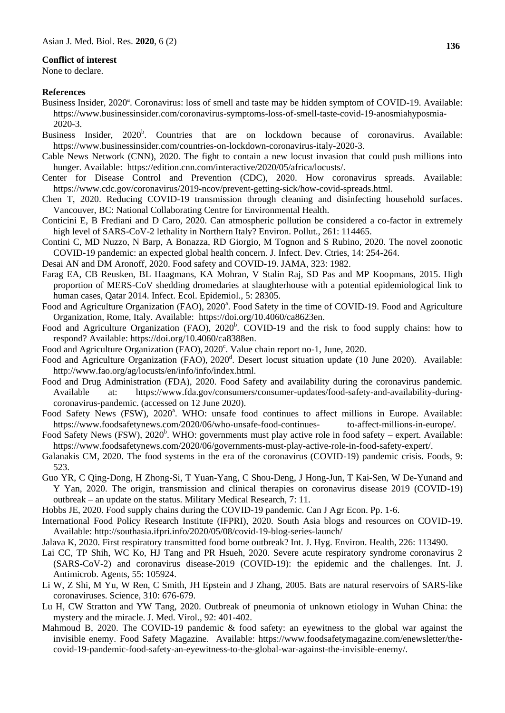### **Conflict of interest**

None to declare.

### **References**

- Business Insider, 2020<sup>a</sup>. Coronavirus: loss of smell and taste may be hidden symptom of COVID-19. Available: https://www.businessinsider.com/coronavirus-symptoms-loss-of-smell-taste-covid-19-anosmiahyposmia-2020-3.
- Business Insider, 2020<sup>b</sup>. Countries that are on lockdown because of coronavirus. Available: https://www.businessinsider.com/countries-on-lockdown-coronavirus-italy-2020-3.
- Cable News Network (CNN), 2020. The fight to contain a new locust invasion that could push millions into hunger. Available: https://edition.cnn.com/interactive/2020/05/africa/locusts/.
- Center for Disease Control and Prevention (CDC), 2020. How coronavirus spreads. Available: [https://www.cdc.gov/coronavirus/2019-ncov/prevent-getting-sick/how-covid-spreads.html.](https://www.cdc.gov/coronavirus/2019-ncov/prevent-getting-sick/how-covid-spreads.html)
- Chen T, 2020. Reducing COVID-19 transmission through cleaning and disinfecting household surfaces. Vancouver, BC: National Collaborating Centre for Environmental Health.
- Conticini E, B Frediani and D Caro, 2020. Can atmospheric pollution be considered a co-factor in extremely high level of SARS-CoV-2 lethality in Northern Italy? Environ. Pollut., 261: 114465.
- Contini C, MD Nuzzo, N Barp, A Bonazza, RD Giorgio, M Tognon and S Rubino, 2020. The novel zoonotic COVID-19 pandemic: an expected global health concern. J. Infect. Dev. Ctries, 14: 254-264.
- Desai AN and DM Aronoff, 2020. Food safety and COVID-19. JAMA, 323: 1982.
- Farag EA, CB Reusken, BL Haagmans, KA Mohran, V Stalin Raj, SD Pas and MP Koopmans, 2015. High proportion of MERS-CoV shedding dromedaries at slaughterhouse with a potential epidemiological link to human cases, Qatar 2014. Infect. Ecol. Epidemiol., 5: 28305.
- Food and Agriculture Organization (FAO), 2020<sup>a</sup>. Food Safety in the time of COVID-19. Food and Agriculture Organization, Rome, Italy. Available: [https://doi.org/10.4060/ca8623en.](https://doi.org/10.4060/ca8623en)
- Food and Agriculture Organization (FAO),  $2020^b$ . COVID-19 and the risk to food supply chains: how to respond? Available: https://doi.org/10.4060/ca8388en.
- Food and Agriculture Organization (FAO), 2020<sup>c</sup>. Value chain report no-1, June, 2020.
- Food and Agriculture Organization (FAO), 2020<sup>d</sup>. Desert locust situation update (10 June 2020). Available: http://www.fao.org/ag/locusts/en/info/info/index.html.
- Food and Drug Administration (FDA), 2020. Food Safety and availability during the coronavirus pandemic. Available at: https://www.fda.gov/consumers/consumer-updates/food-safety-and-availability-duringcoronavirus-pandemic. (accessed on 12 June 2020).
- Food Safety News (FSW), 2020<sup>ª</sup>. WHO: unsafe food continues to affect millions in Europe. Available: [https://www.foodsafetynews.com/2020/06/who-unsafe-food-continues-](https://www.foodsafetynews.com/2020/06/who-unsafe-food-continues-%09to-affect-millions-in-europe/) to-affect-millions-in-europe/.
- Food Safety News (FSW),  $2020^b$ . WHO: governments must play active role in food safety expert. Available: [https://www.foodsafetynews.com/2020/06/governments-must-play-active-role-in-food-safety-expert/.](https://www.foodsafetynews.com/2020/06/governments-must-%09play-active-role-in-food-safety-expert/)
- Galanakis CM, 2020. The food systems in the era of the coronavirus (COVID-19) pandemic crisis. Foods, 9: 523.
- Guo YR, C Qing-Dong, H Zhong-Si, T Yuan-Yang, C Shou-Deng, J Hong-Jun, T Kai-Sen, W De-Yunand and Y Yan, 2020. The origin, transmission and clinical therapies on coronavirus disease 2019 (COVID-19) outbreak – an update on the status. Military Medical Research, 7: 11.
- Hobbs JE, 2020. Food supply chains during the COVID-19 pandemic. Can J Agr Econ. Pp. 1-6.
- International Food Policy Research Institute (IFPRI), 2020. South Asia blogs and resources on COVID-19. Available: http://southasia.ifpri.info/2020/05/08/covid-19-blog-series-launch/
- Jalava K, 2020. First respiratory transmitted food borne outbreak? Int. J. Hyg. Environ. Health, 226: 113490.
- Lai CC, TP Shih, WC Ko, HJ Tang and PR Hsueh, 2020. Severe acute respiratory syndrome coronavirus 2 (SARS-CoV-2) and coronavirus disease-2019 (COVID-19): the epidemic and the challenges. Int. J. Antimicrob. Agents, 55: 105924.
- Li W, Z Shi, M Yu, W Ren, C Smith, JH Epstein and J Zhang, 2005. Bats are natural reservoirs of SARS-like coronaviruses. Science, 310: 676-679.
- Lu H, CW Stratton and YW Tang, 2020. Outbreak of pneumonia of unknown etiology in Wuhan China: the mystery and the miracle. J. Med. Virol., 92: 401-402.
- Mahmoud B, 2020. The COVID-19 pandemic & food safety: an eyewitness to the global war against the invisible enemy. Food Safety Magazine. Available: https://www.foodsafetymagazine.com/enewsletter/thecovid-19-pandemic-food-safety-an-eyewitness-to-the-global-war-against-the-invisible-enemy/.